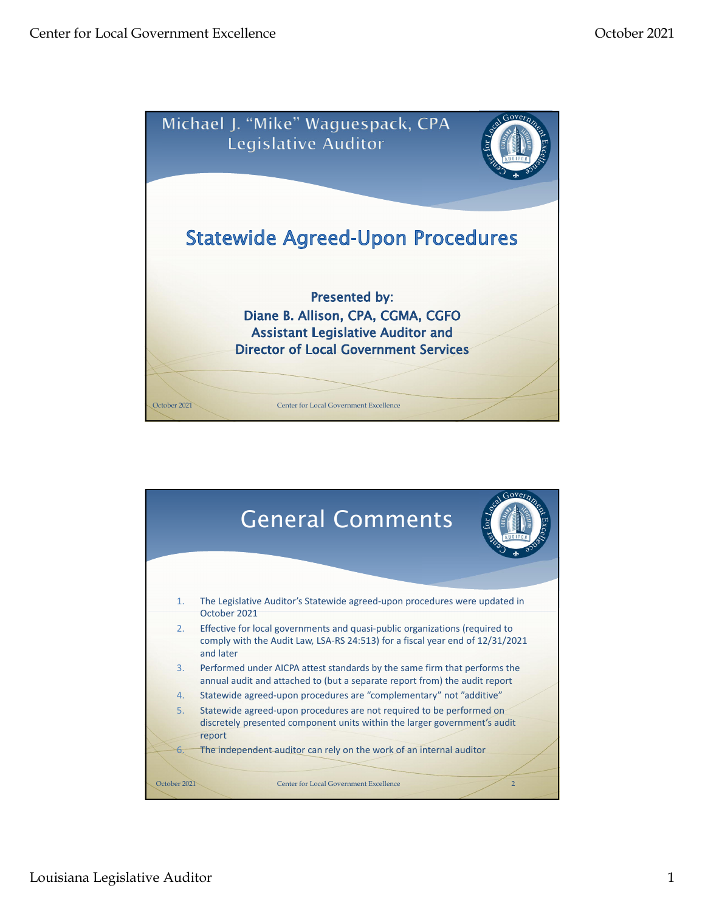

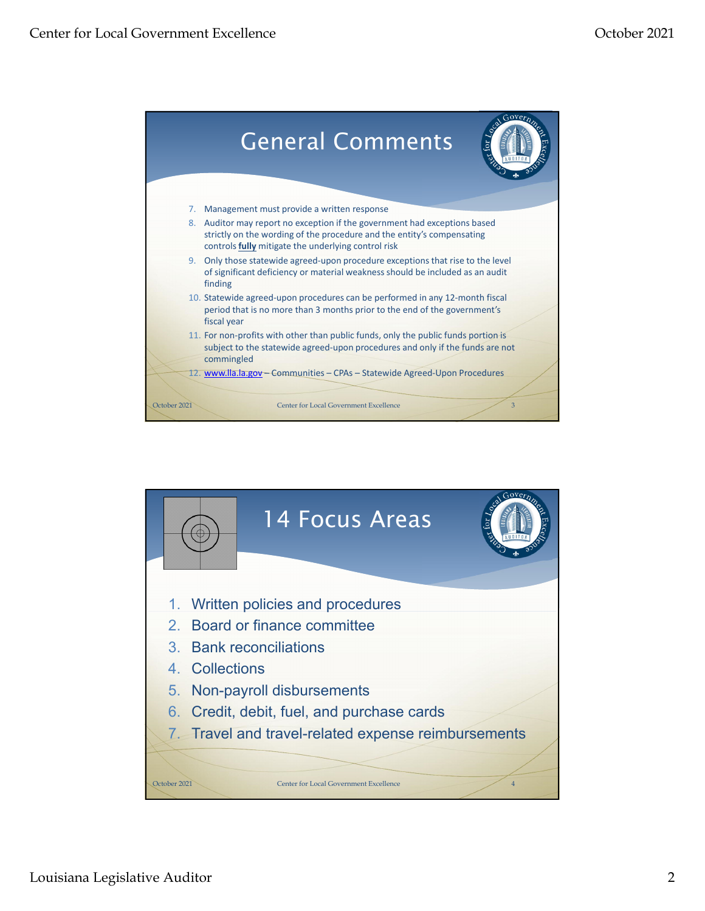

![](_page_1_Figure_3.jpeg)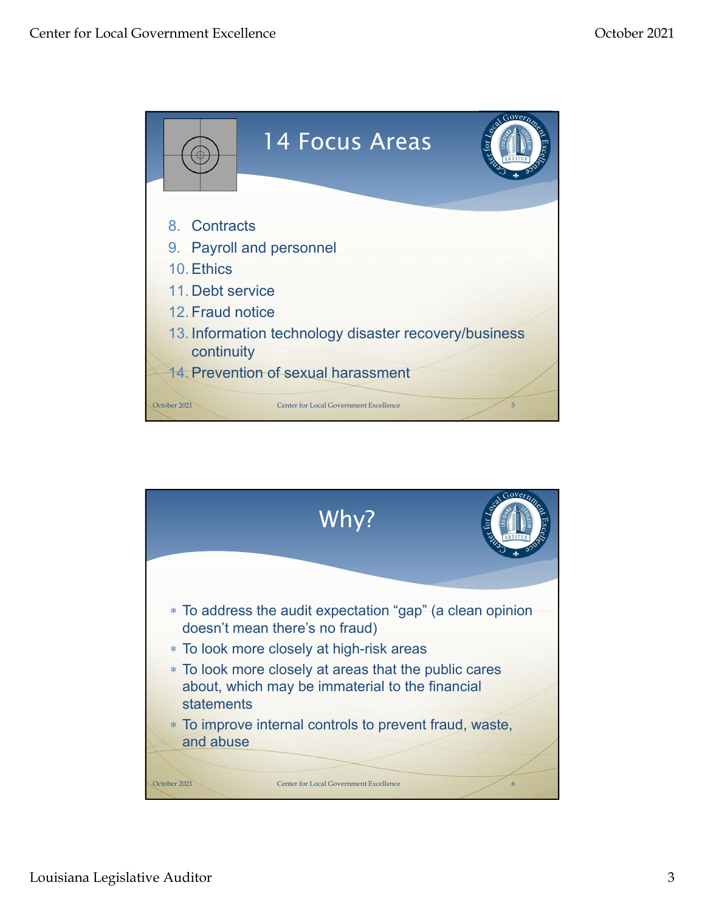![](_page_2_Picture_2.jpeg)

![](_page_2_Figure_3.jpeg)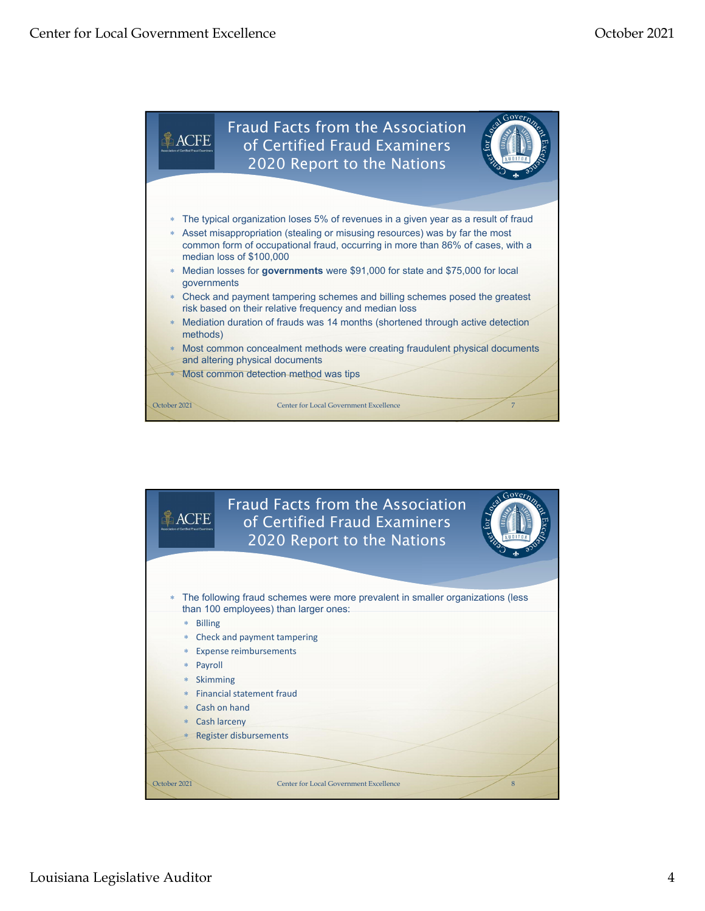![](_page_3_Figure_2.jpeg)

![](_page_3_Picture_3.jpeg)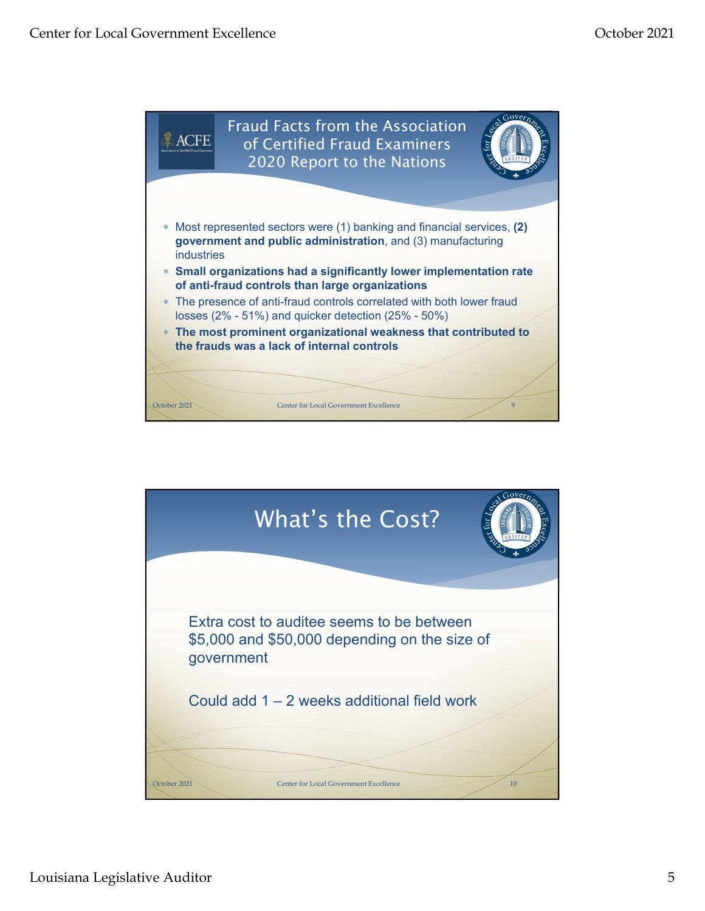![](_page_4_Figure_2.jpeg)

![](_page_4_Figure_3.jpeg)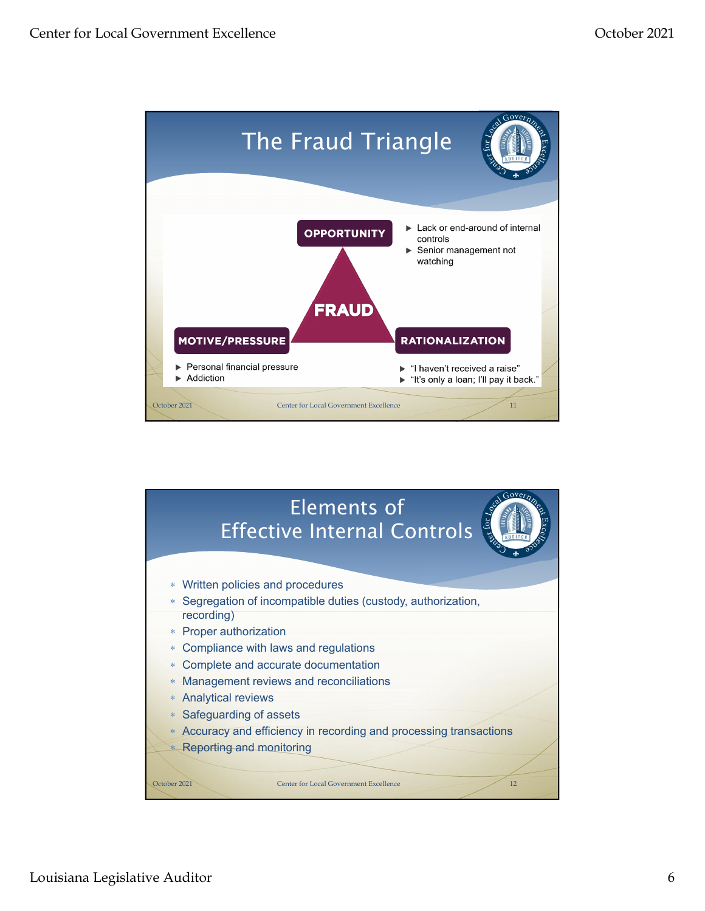![](_page_5_Figure_2.jpeg)

![](_page_5_Figure_3.jpeg)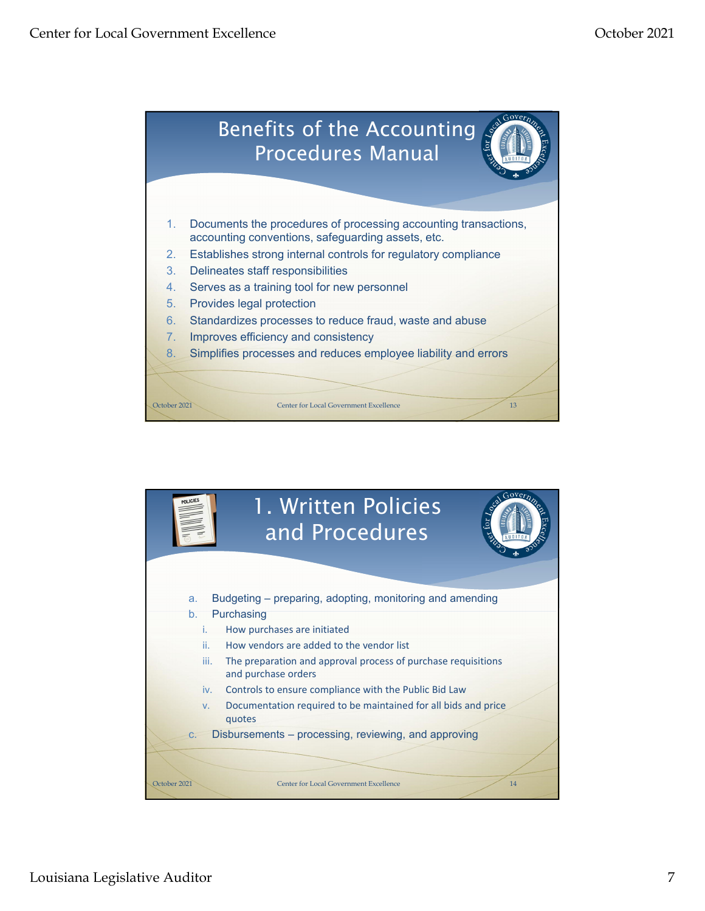![](_page_6_Picture_2.jpeg)

![](_page_6_Picture_3.jpeg)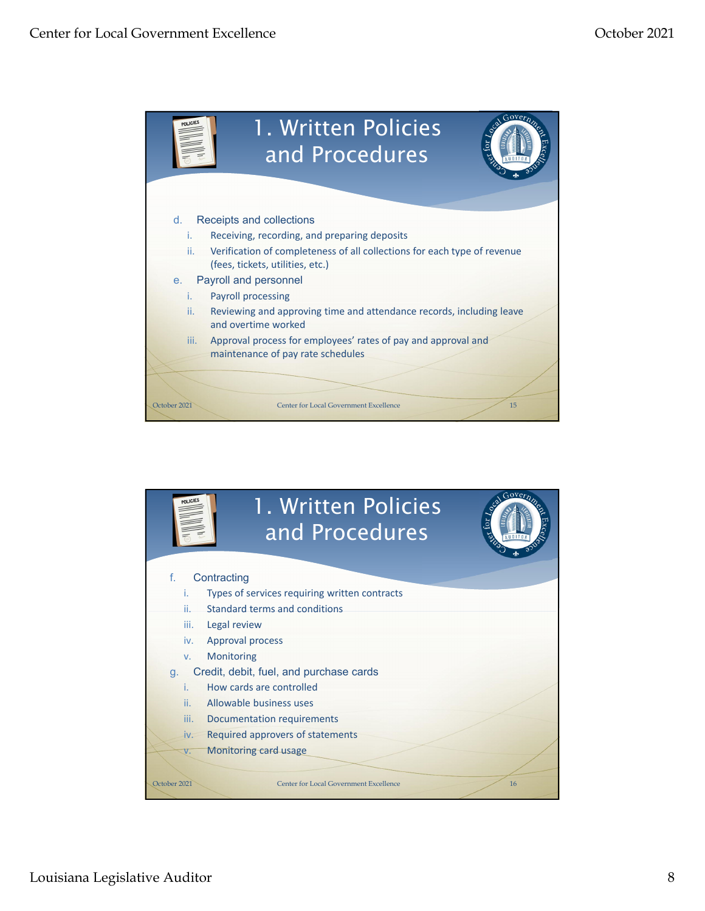![](_page_7_Picture_2.jpeg)

![](_page_7_Picture_3.jpeg)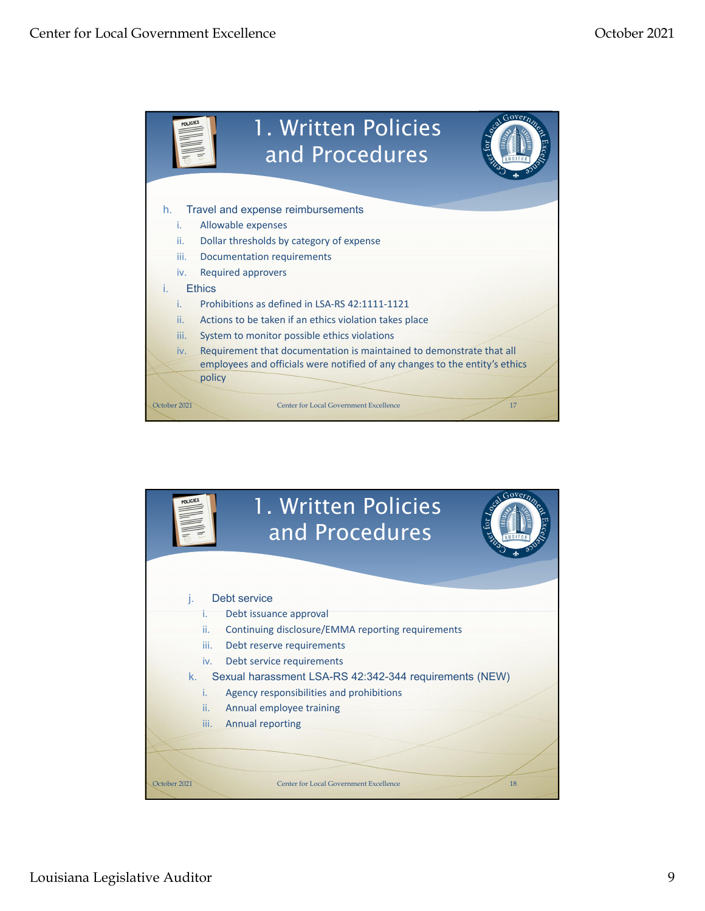![](_page_8_Picture_2.jpeg)

![](_page_8_Picture_3.jpeg)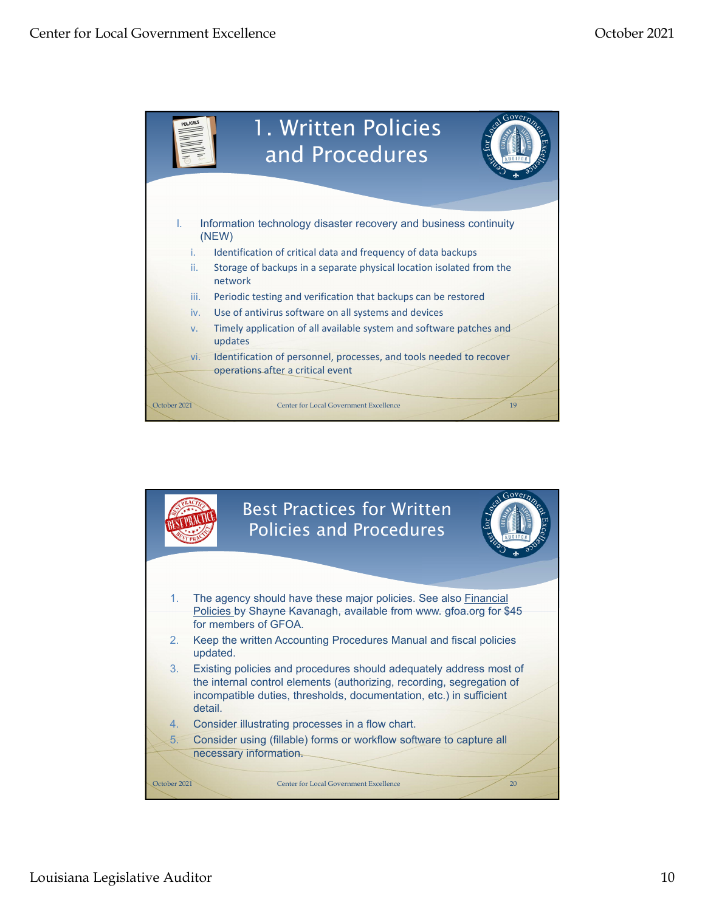![](_page_9_Picture_2.jpeg)

![](_page_9_Picture_3.jpeg)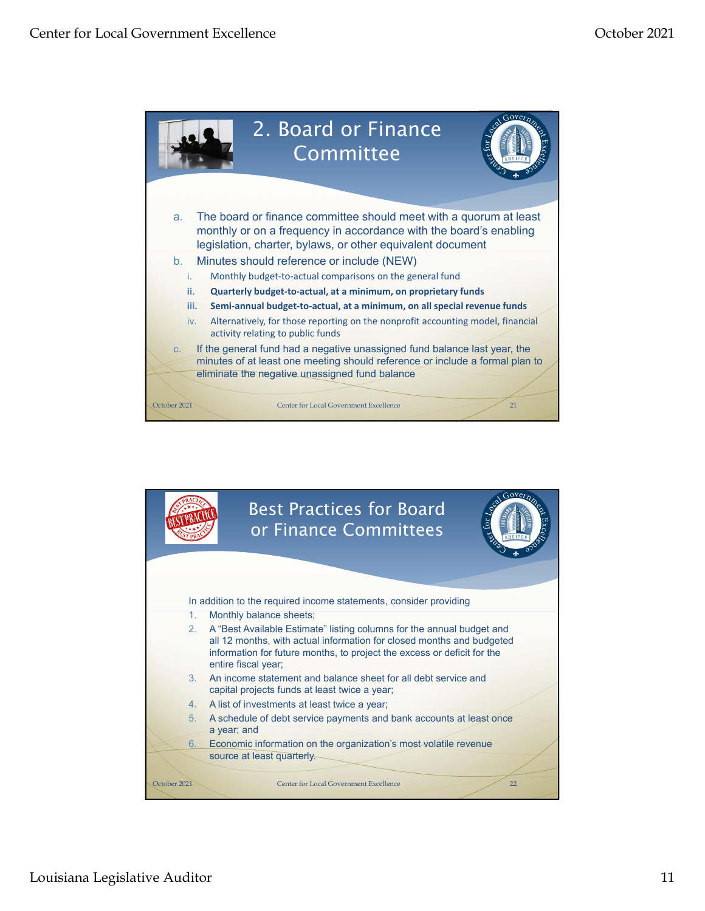![](_page_10_Figure_2.jpeg)

![](_page_10_Picture_3.jpeg)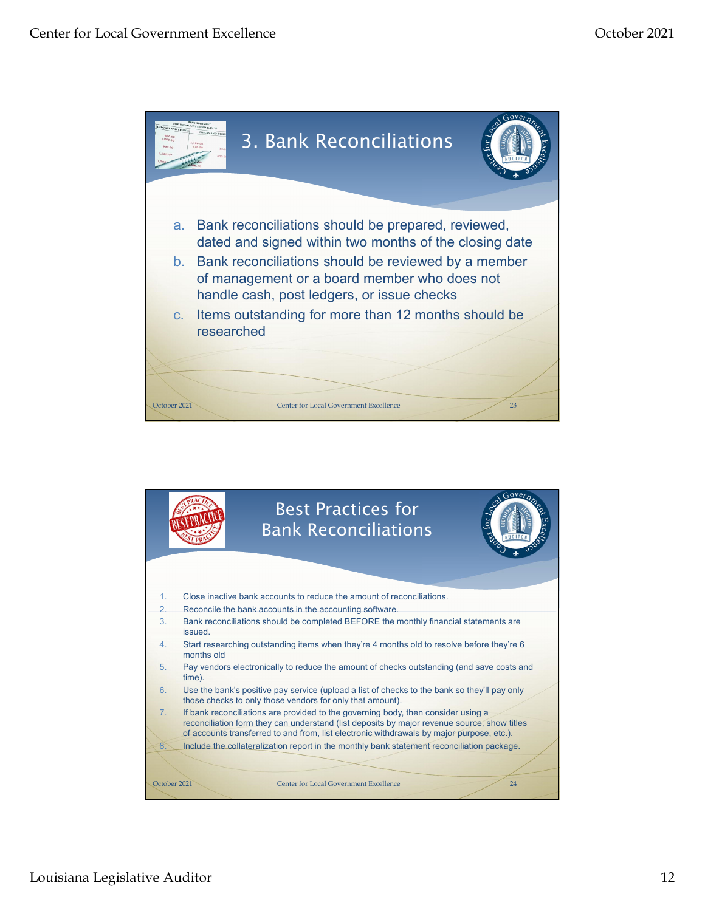![](_page_11_Picture_2.jpeg)

![](_page_11_Picture_3.jpeg)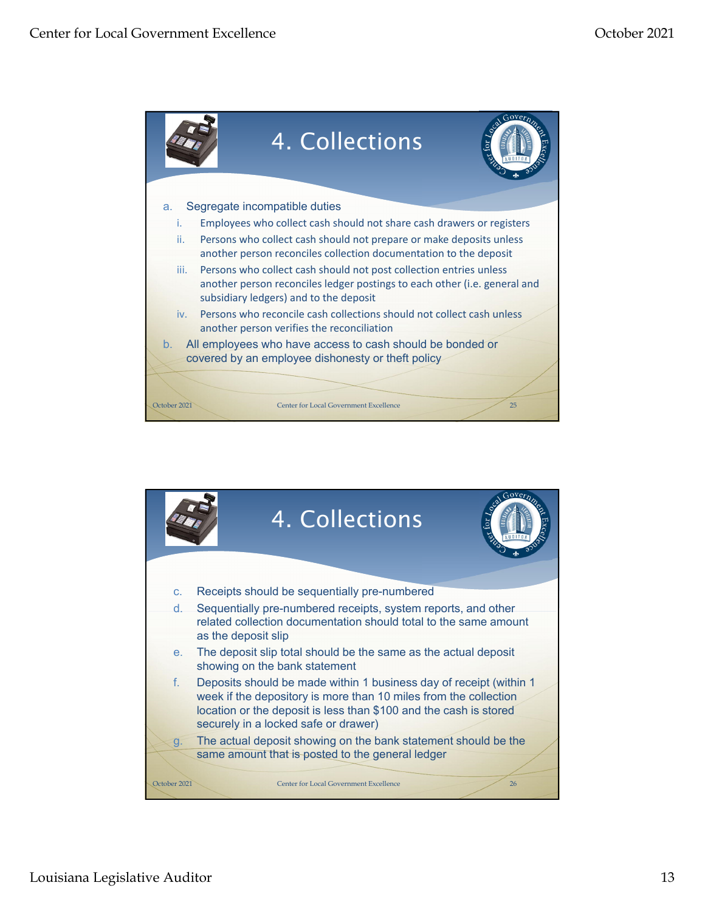![](_page_12_Figure_2.jpeg)

![](_page_12_Figure_3.jpeg)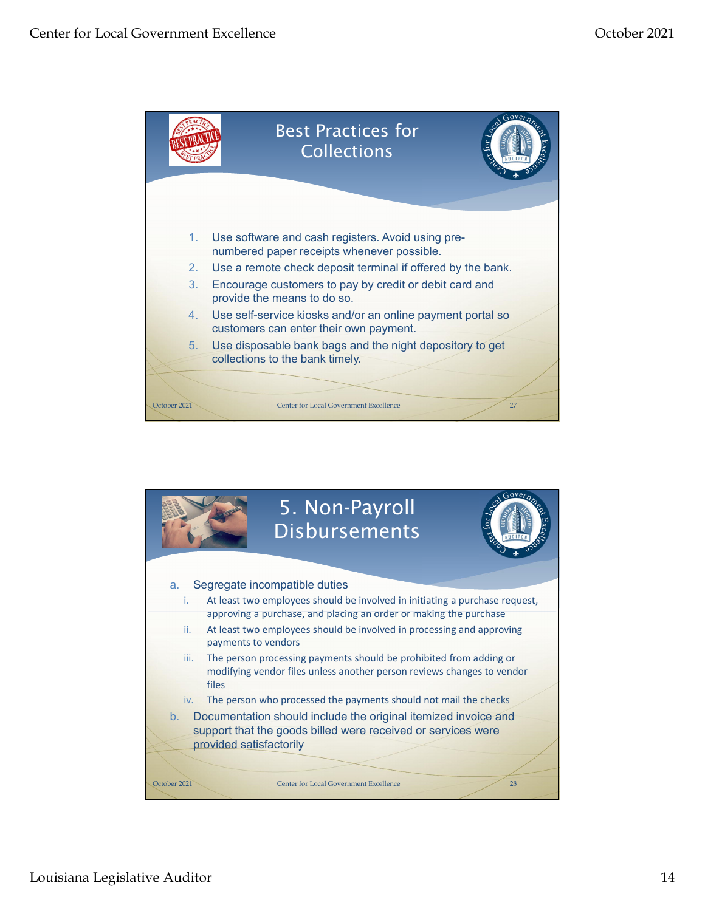![](_page_13_Figure_2.jpeg)

![](_page_13_Figure_3.jpeg)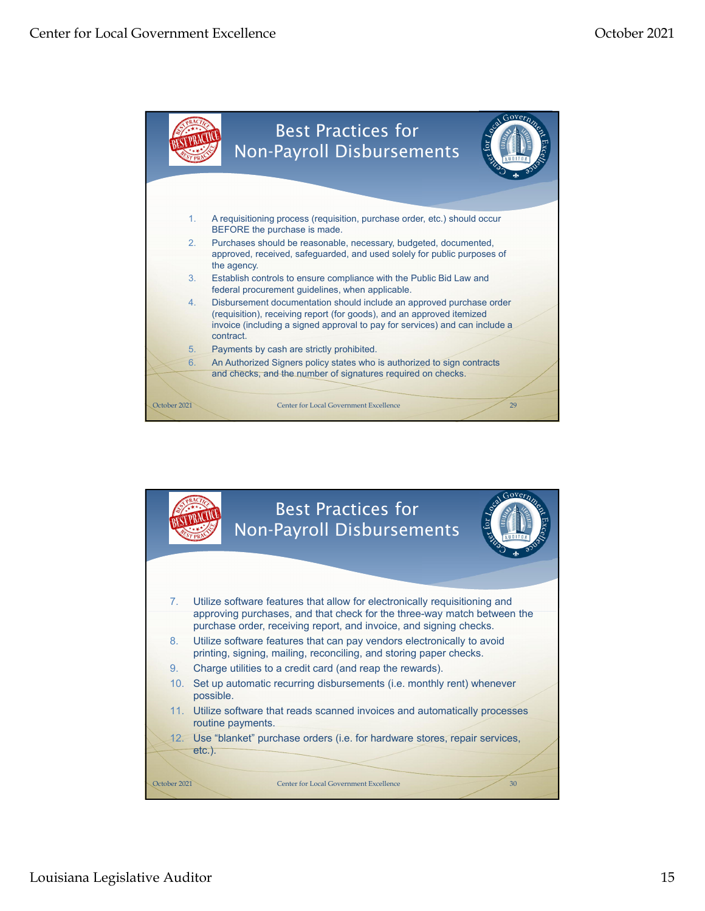![](_page_14_Figure_2.jpeg)

![](_page_14_Picture_3.jpeg)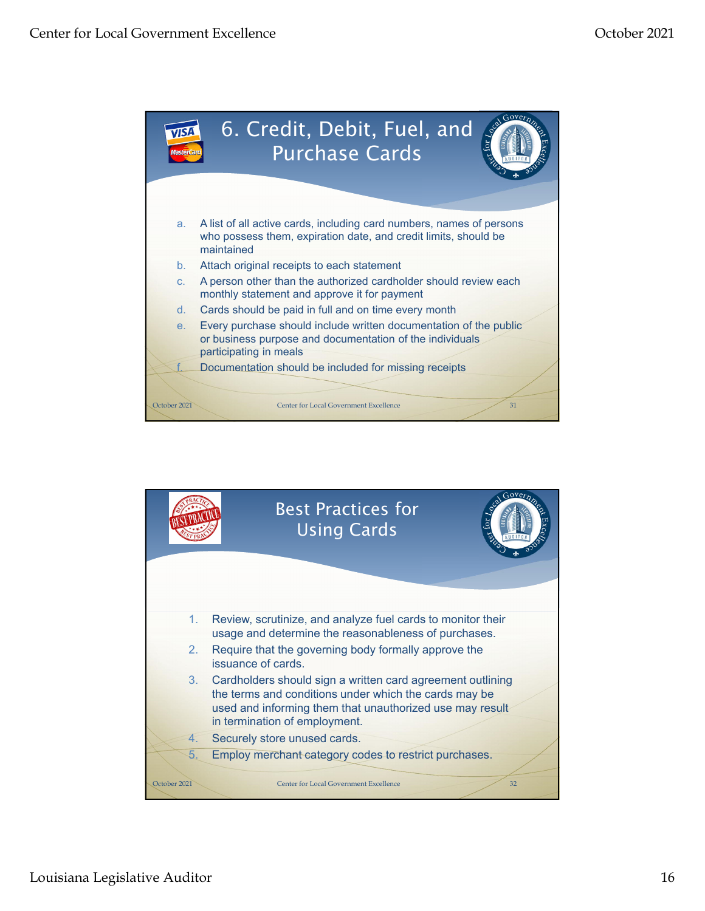![](_page_15_Picture_2.jpeg)

![](_page_15_Figure_3.jpeg)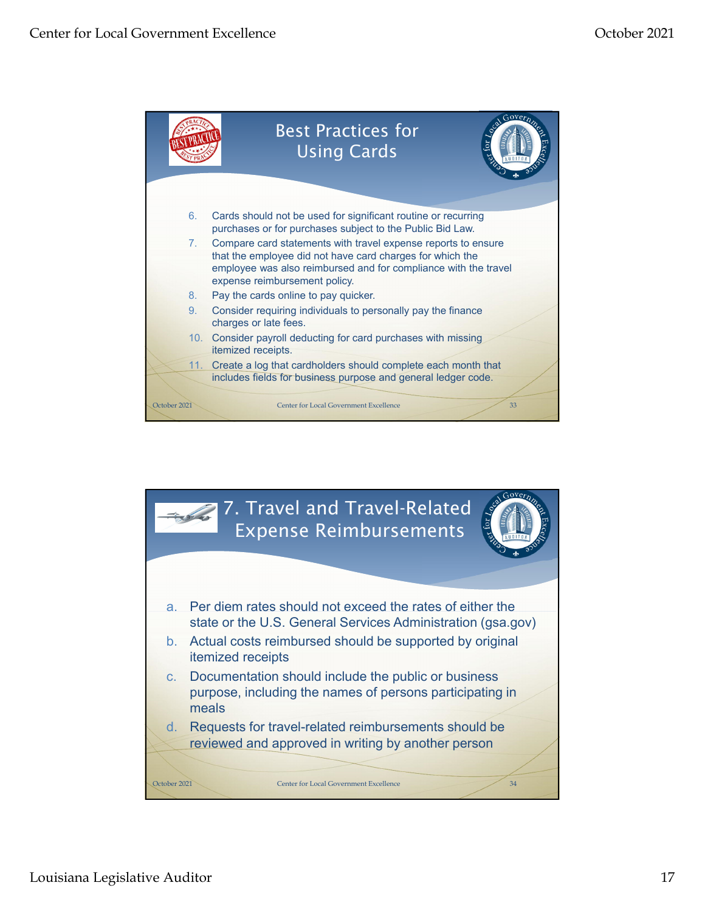![](_page_16_Figure_2.jpeg)

![](_page_16_Picture_3.jpeg)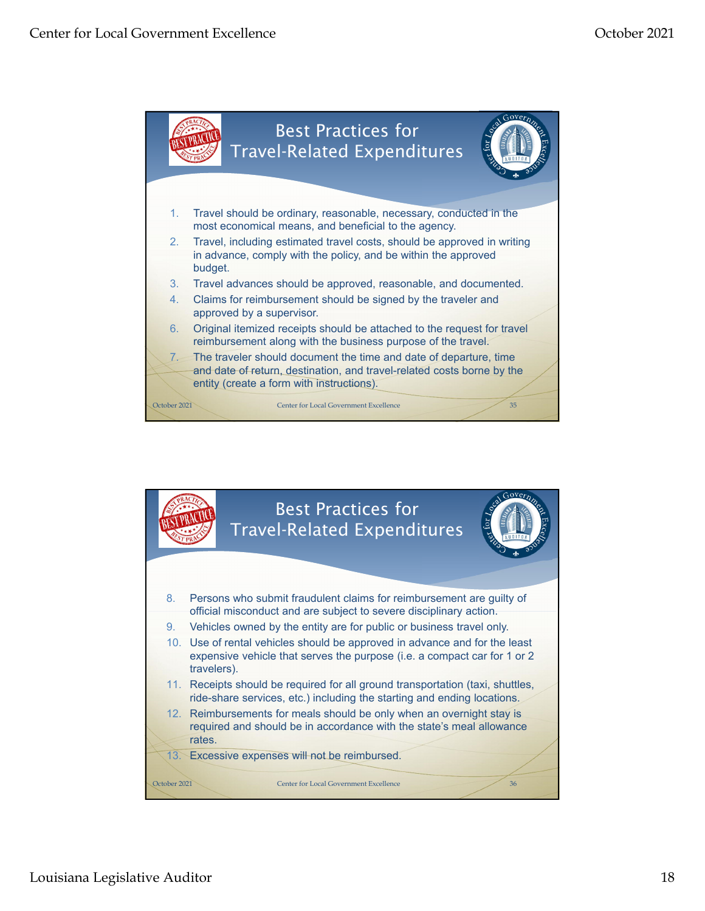![](_page_17_Figure_2.jpeg)

![](_page_17_Picture_3.jpeg)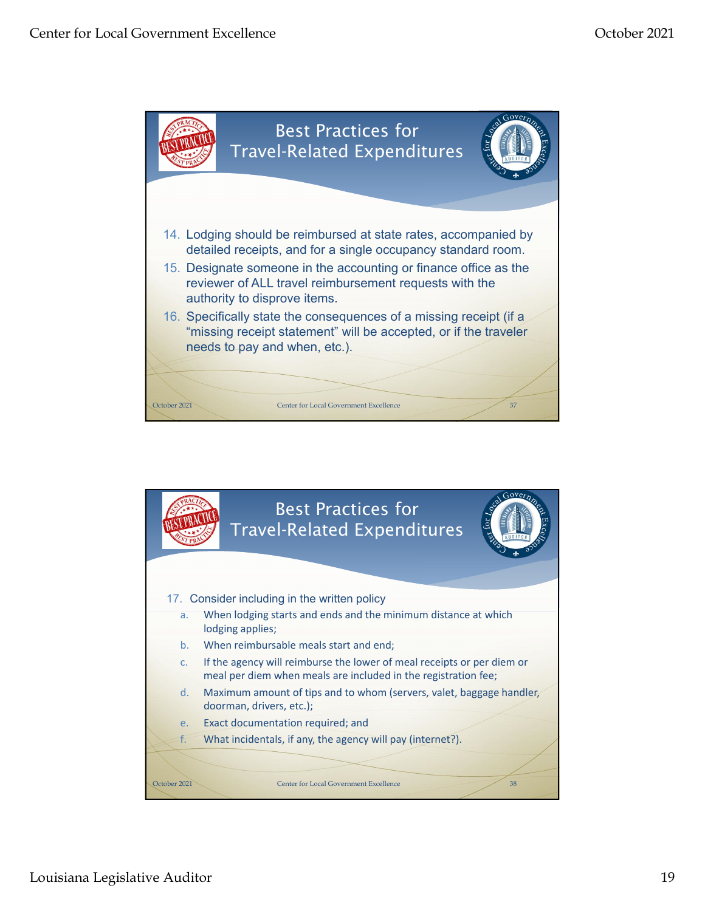![](_page_18_Figure_2.jpeg)

![](_page_18_Picture_3.jpeg)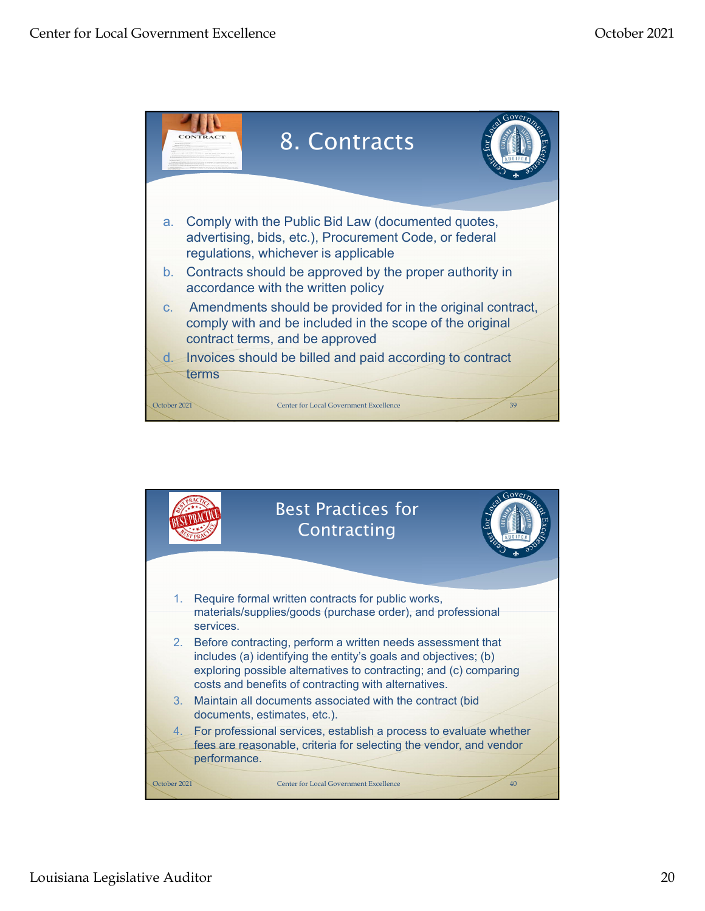![](_page_19_Picture_2.jpeg)

![](_page_19_Picture_3.jpeg)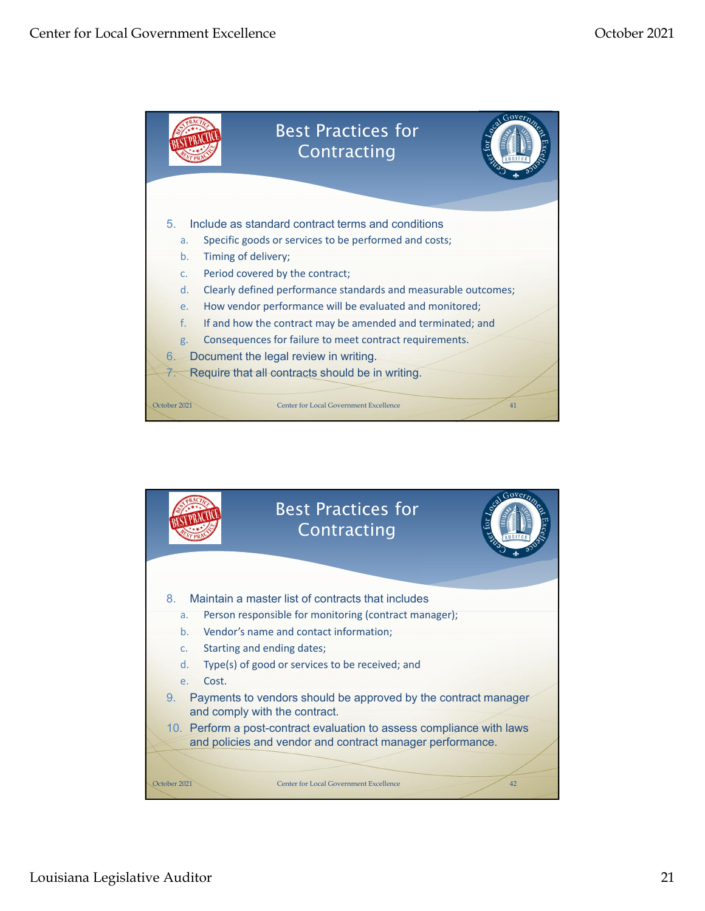![](_page_20_Figure_2.jpeg)

![](_page_20_Picture_3.jpeg)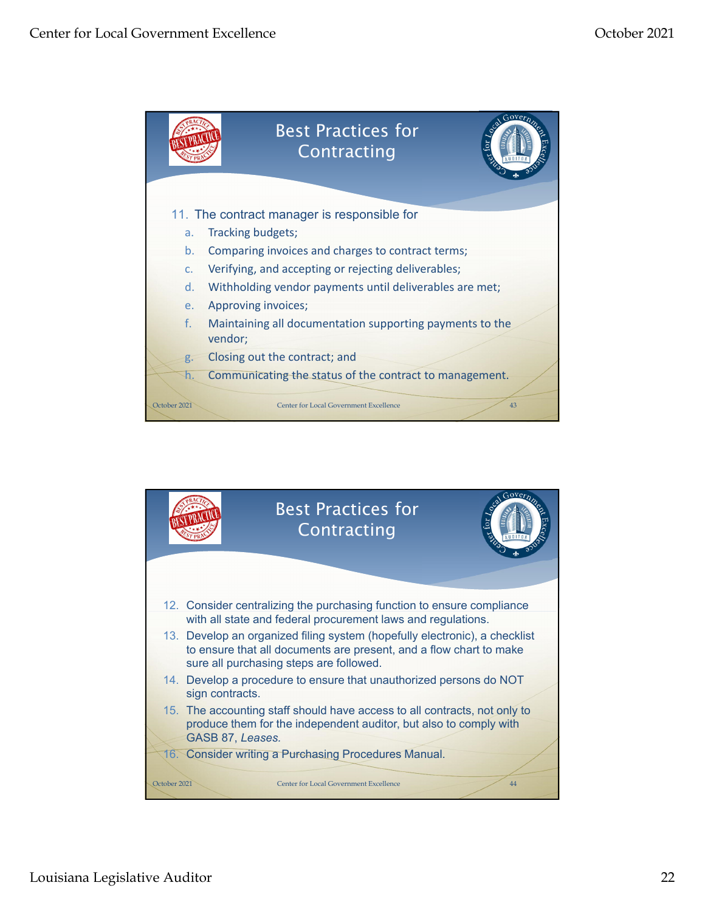![](_page_21_Picture_2.jpeg)

![](_page_21_Picture_3.jpeg)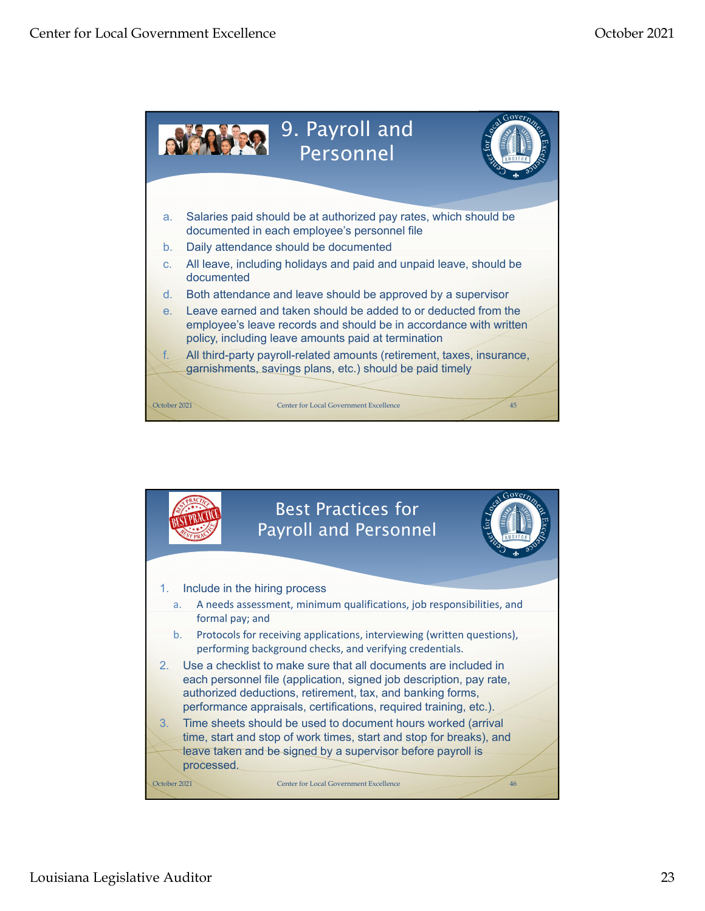![](_page_22_Figure_2.jpeg)

![](_page_22_Picture_3.jpeg)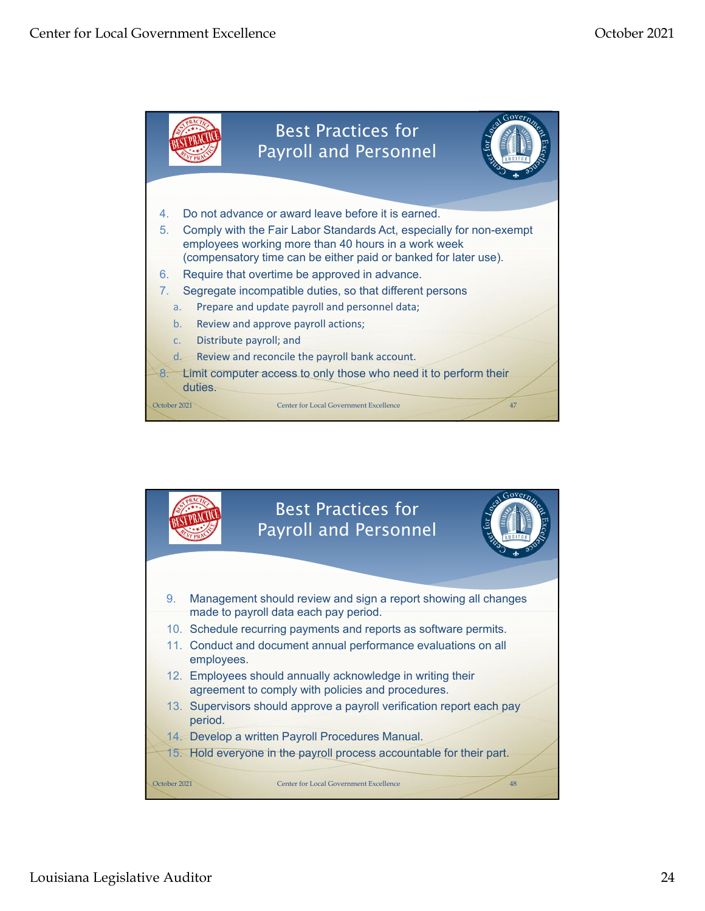![](_page_23_Figure_2.jpeg)

![](_page_23_Picture_3.jpeg)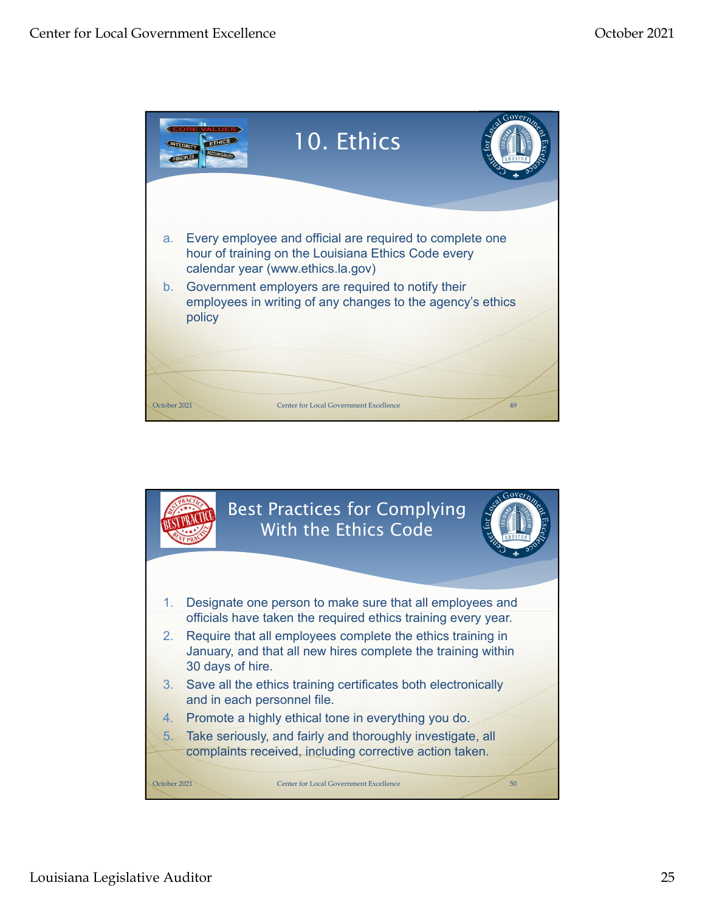![](_page_24_Picture_2.jpeg)

![](_page_24_Picture_3.jpeg)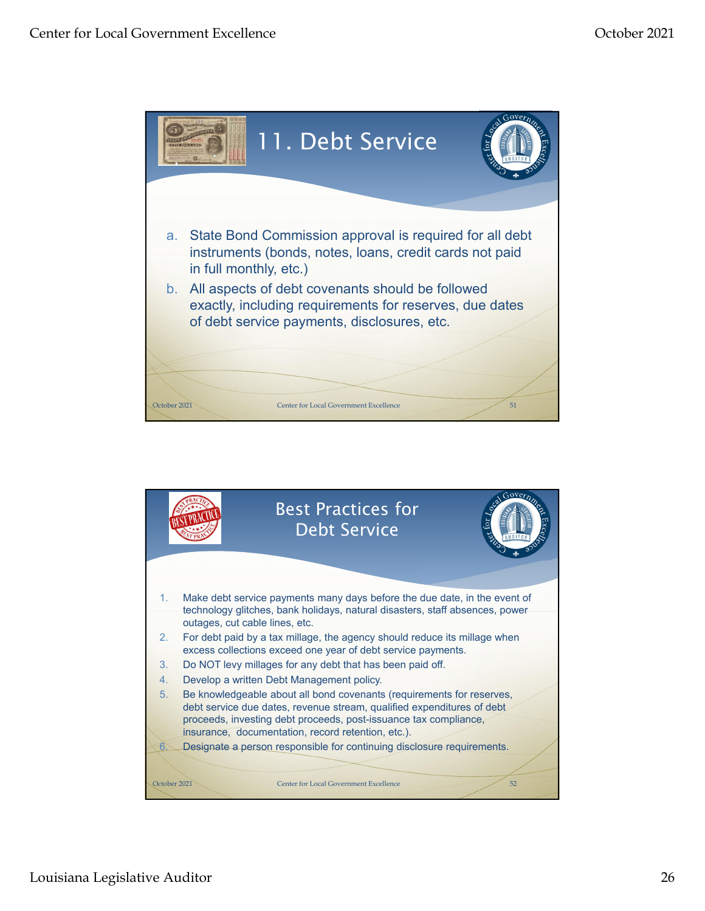![](_page_25_Picture_2.jpeg)

![](_page_25_Picture_3.jpeg)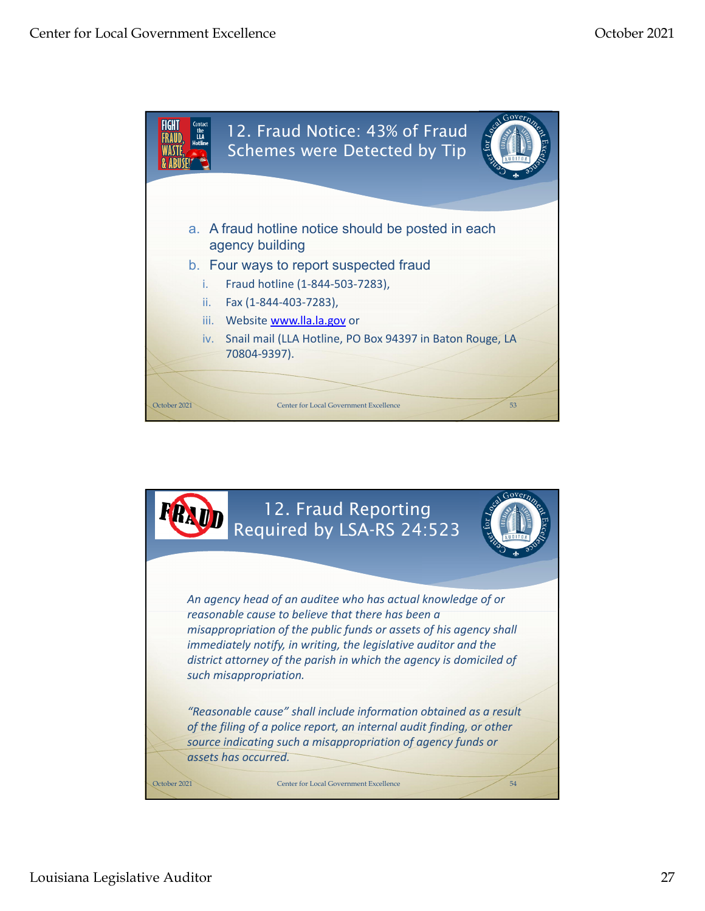![](_page_26_Picture_2.jpeg)

![](_page_26_Picture_3.jpeg)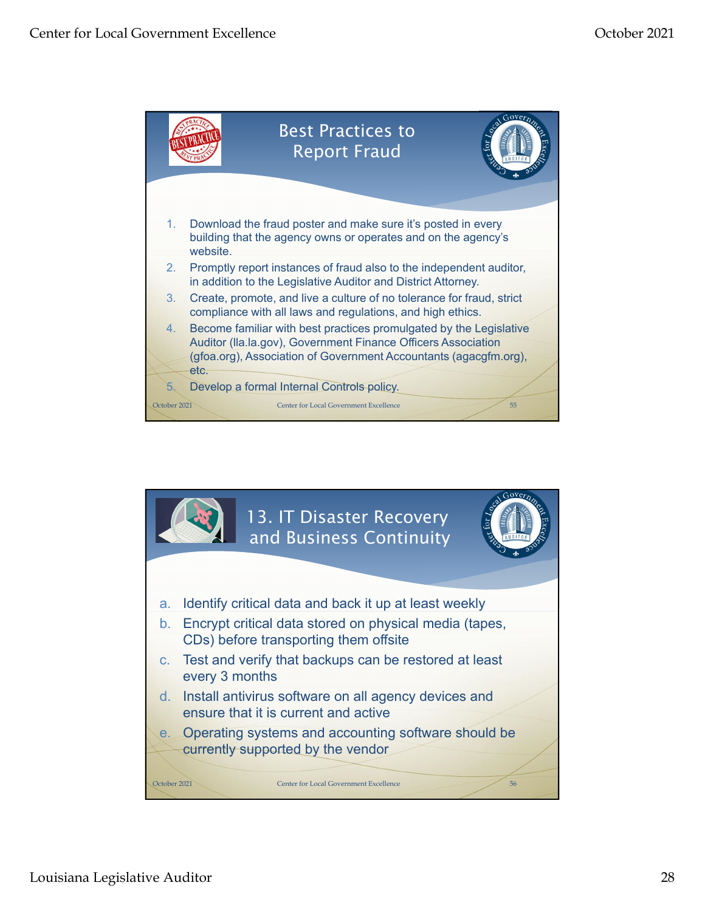![](_page_27_Figure_2.jpeg)

![](_page_27_Picture_3.jpeg)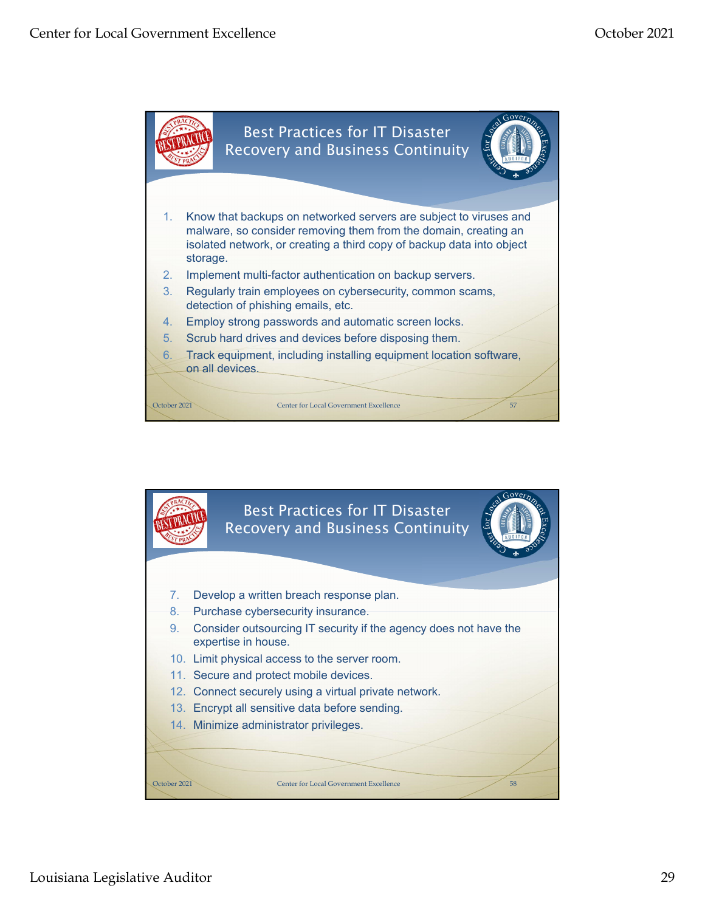![](_page_28_Figure_2.jpeg)

![](_page_28_Picture_3.jpeg)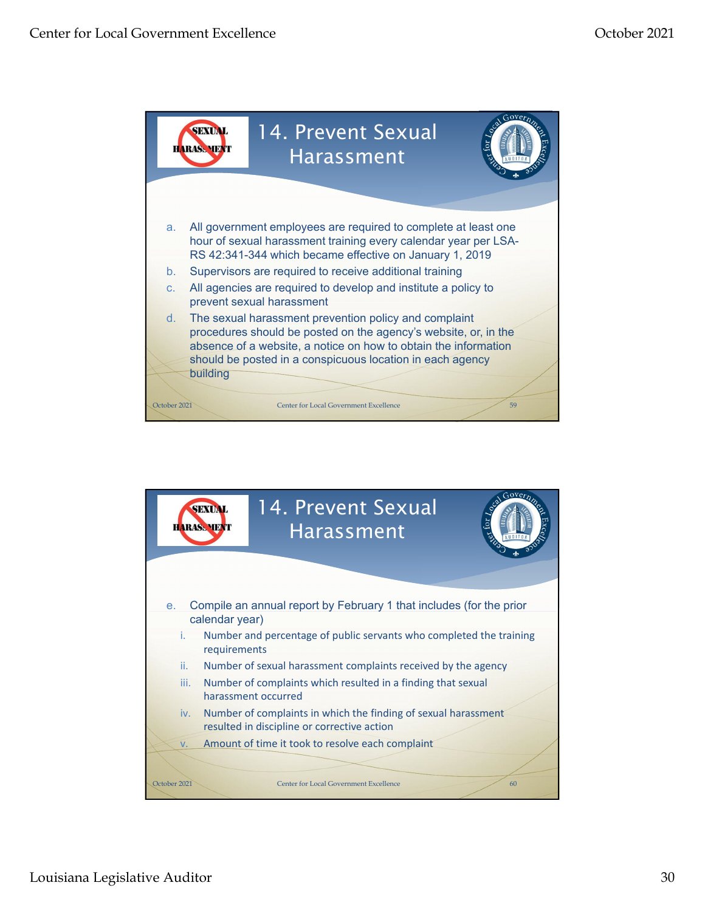![](_page_29_Picture_2.jpeg)

![](_page_29_Picture_3.jpeg)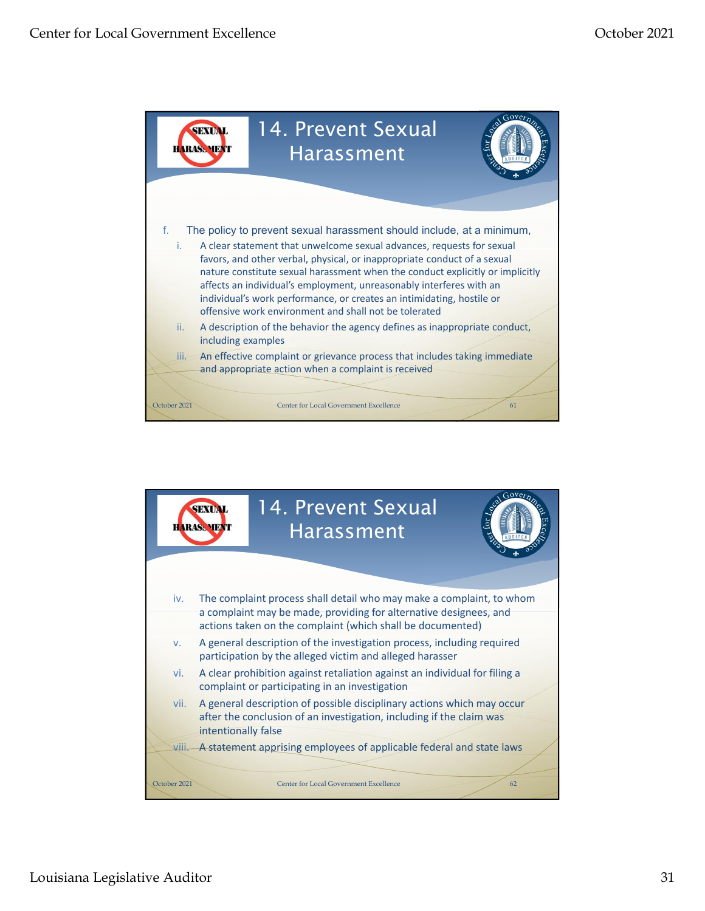![](_page_30_Picture_2.jpeg)

![](_page_30_Figure_3.jpeg)